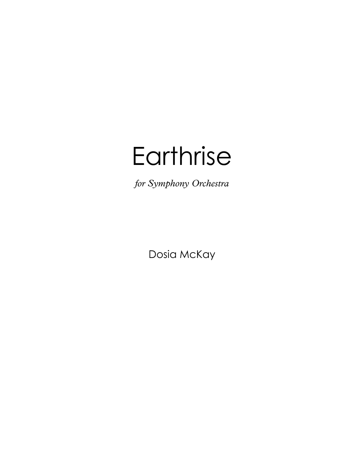## Earthrise

for Symphony Orchestra

Dosia McKay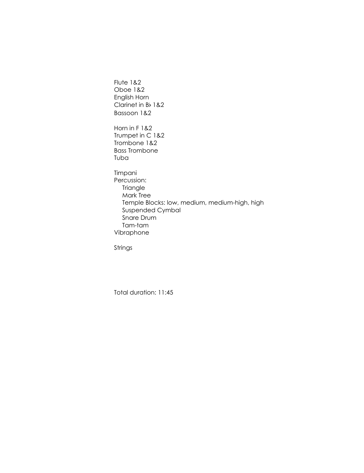Flute 1&2 Oboe 1&2 English Horn Clarinet in Bb 1&2 Bassoon 1&2 Horn in F 1&2 Trumpet in C 1&2 Trombone 1&2 Bass Trombone Tuba Timpani Percussion: **Triangle** Mark Tree Temple Blocks: low, medium, medium-high, high Suspended Cymbal Snare Drum Tam-tam Vibraphone

Strings

Total duration: 11:45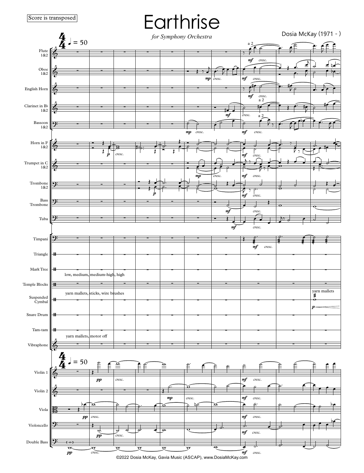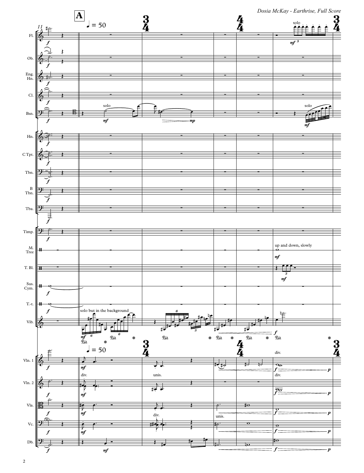

2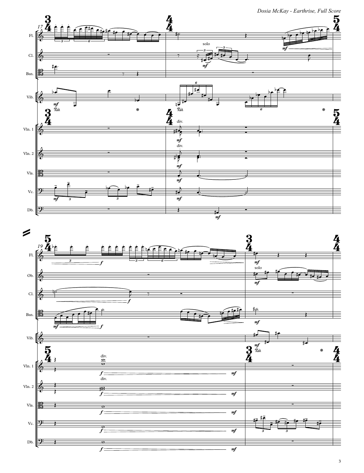



 $\overline{\mathbf{3}}$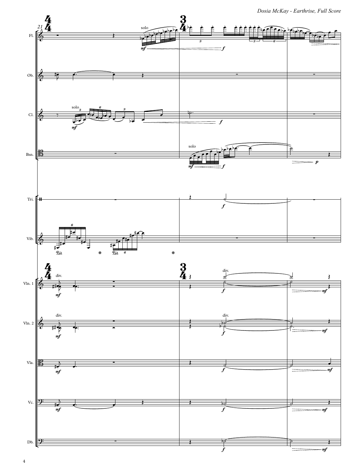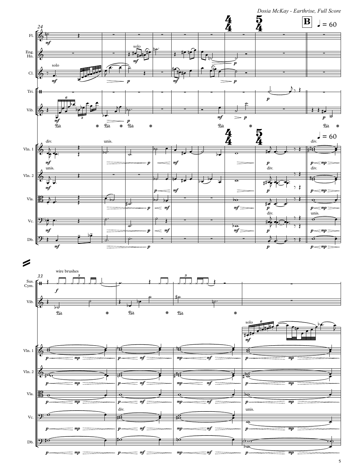

5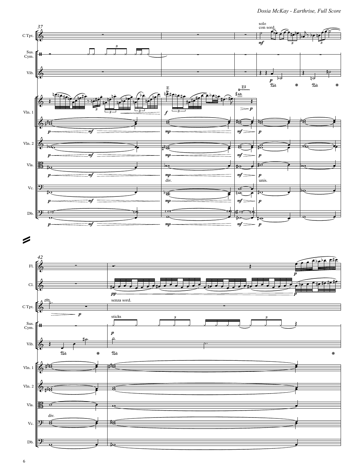



 $\sqrt{6}$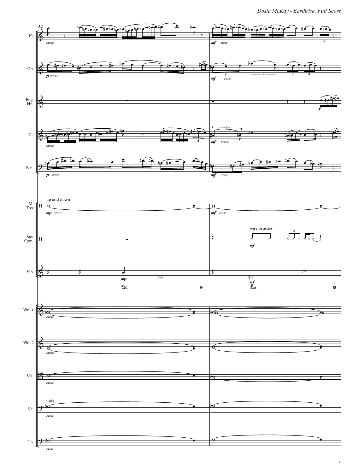Dosia McKay - Earthrise, Full Score

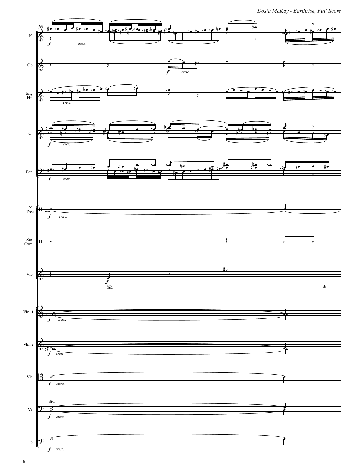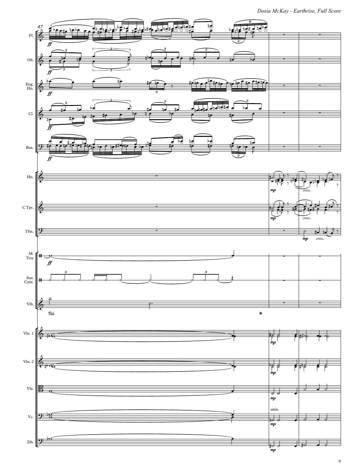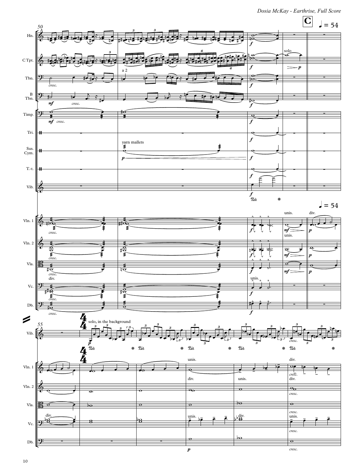*Dosia McKay - Earthrise, Full Score*

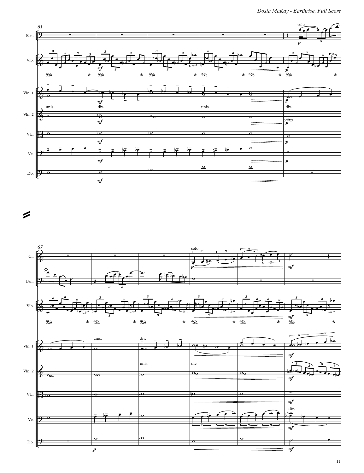



 $\boldsymbol{p}$ 

 $\overline{11}$ 

 $m f$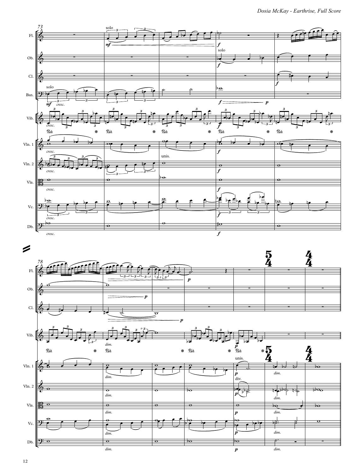

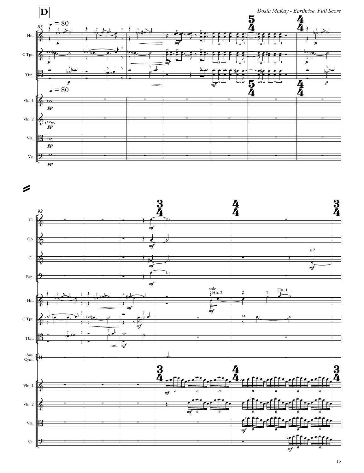



13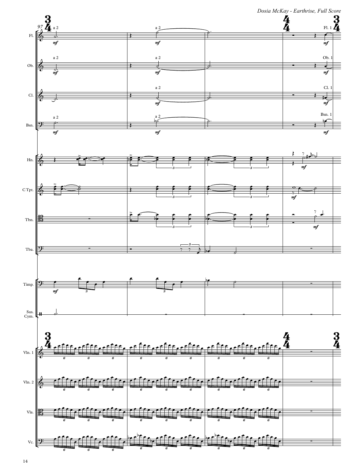